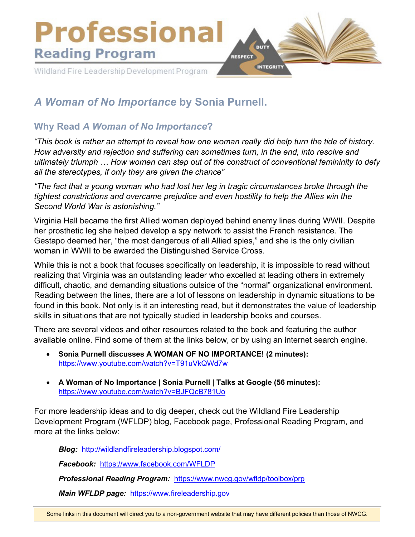

## *A Woman of No Importance* **by Sonia Purnell.**

## **Why Read** *A Woman of No Importance***?**

*"This book is rather an attempt to reveal how one woman really did help turn the tide of history. How adversity and rejection and suffering can sometimes turn, in the end, into resolve and ultimately triumph … How women can step out of the construct of conventional femininity to defy all the stereotypes, if only they are given the chance"* 

*"The fact that a young woman who had lost her leg in tragic circumstances broke through the tightest constrictions and overcame prejudice and even hostility to help the Allies win the Second World War is astonishing."* 

Virginia Hall became the first Allied woman deployed behind enemy lines during WWII. Despite her prosthetic leg she helped develop a spy network to assist the French resistance. The Gestapo deemed her, "the most dangerous of all Allied spies," and she is the only civilian woman in WWII to be awarded the Distinguished Service Cross.

While this is not a book that focuses specifically on leadership, it is impossible to read without realizing that Virginia was an outstanding leader who excelled at leading others in extremely difficult, chaotic, and demanding situations outside of the "normal" organizational environment. Reading between the lines, there are a lot of lessons on leadership in dynamic situations to be found in this book. Not only is it an interesting read, but it demonstrates the value of leadership skills in situations that are not typically studied in leadership books and courses.

There are several videos and other resources related to the book and featuring the author available online. Find some of them at the links below, or by using an internet search engine.

- **Sonia Purnell discusses A WOMAN OF NO IMPORTANCE! (2 minutes):** <https://www.youtube.com/watch?v=T91uVkQWd7w>
- **A Woman of No Importance | Sonia Purnell | Talks at Google (56 minutes):** <https://www.youtube.com/watch?v=BJFQcB781Uo>

For more leadership ideas and to dig deeper, check out the Wildland Fire Leadership Development Program (WFLDP) blog, Facebook page, Professional Reading Program, and more at the links below:

*Blog:* <http://wildlandfireleadership.blogspot.com/>

*Facebook:* <https://www.facebook.com/WFLDP>

*Professional Reading Program:* <https://www.nwcg.gov/wfldp/toolbox/prp>

*Main WFLDP page:* [https://www.fireleadership.gov](https://www.fireleadership.gov/)